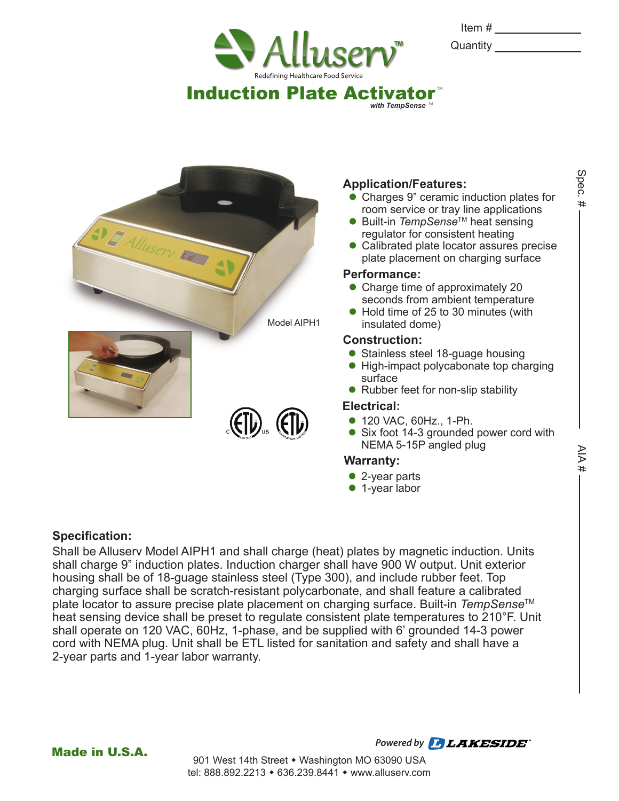

| Item #   |  |
|----------|--|
| Quantity |  |

Spec. #



## **Application/Features:**

 $with$  TempSense

- Charges 9" ceramic induction plates for room service or tray line applications
- Built-in *TempSense*<sup>™</sup> heat sensing regulator for consistent heating
- Calibrated plate locator assures precise plate placement on charging surface

### **Performance:**

- Charge time of approximately 20 seconds from ambient temperature
- Hold time of 25 to 30 minutes (with insulated dome)

### **Construction:**

- Stainless steel 18-guage housing
- High-impact polycabonate top charging surface
- Rubber feet for non-slip stability

### **Electrical:**

- 120 VAC, 60Hz., 1-Ph.
- Six foot 14-3 grounded power cord with NEMA 5-15P angled plug

### **Warranty:**

- 2-year parts
- 1-year labor

### **Specification:**

Shall be Alluserv Model AIPH1 and shall charge (heat) plates by magnetic induction. Units shall charge 9" induction plates. Induction charger shall have 900 W output. Unit exterior housing shall be of 18-guage stainless steel (Type 300), and include rubber feet. Top charging surface shall be scratch-resistant polycarbonate, and shall feature a calibrated plate locator to assure precise plate placement on charging surface. Built-in *TempSense*TM heat sensing device shall be preset to regulate consistent plate temperatures to 210°F. Unit shall operate on 120 VAC, 60Hz, 1-phase, and be supplied with 6' grounded 14-3 power cord with NEMA plug. Unit shall be ETL listed for sanitation and safety and shall have a 2-year parts and 1-year labor warranty.

Made in U.S.A.

Powered by *LAKESIDE*